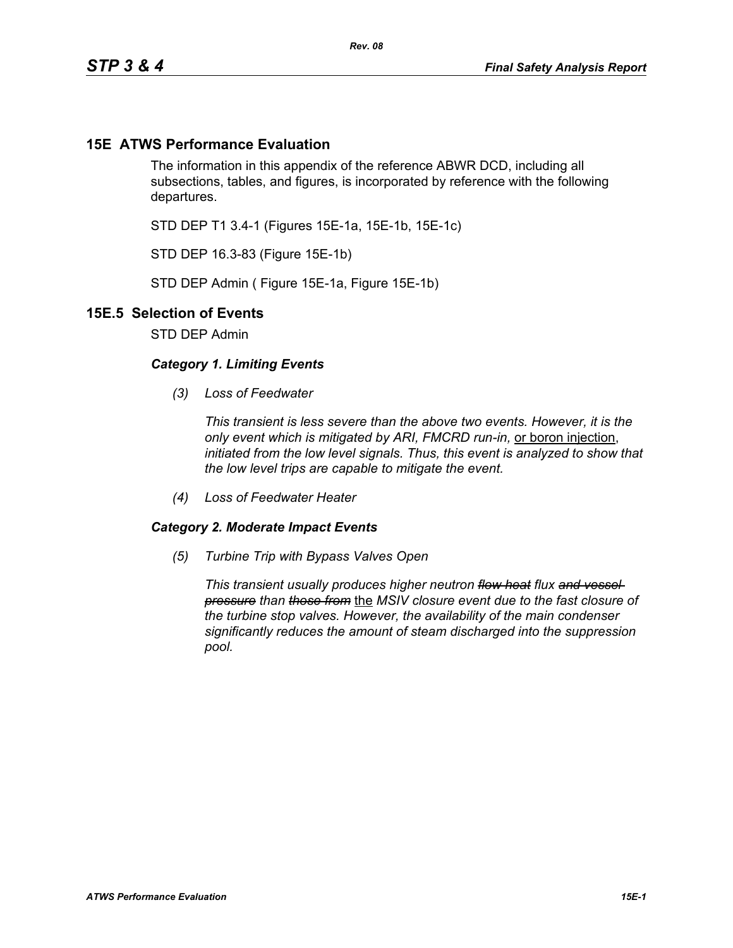## **15E ATWS Performance Evaluation**

The information in this appendix of the reference ABWR DCD, including all subsections, tables, and figures, is incorporated by reference with the following departures.

STD DEP T1 3.4-1 (Figures 15E-1a, 15E-1b, 15E-1c)

STD DEP 16.3-83 (Figure 15E-1b)

STD DEP Admin ( Figure 15E-1a, Figure 15E-1b)

## **15E.5 Selection of Events**

STD DEP Admin

## *Category 1. Limiting Events*

*(3) Loss of Feedwater*

*This transient is less severe than the above two events. However, it is the only event which is mitigated by ARI, FMCRD run-in,* or boron injection, *initiated from the low level signals. Thus, this event is analyzed to show that the low level trips are capable to mitigate the event.*

*(4) Loss of Feedwater Heater*

## *Category 2. Moderate Impact Events*

*(5) Turbine Trip with Bypass Valves Open*

*This transient usually produces higher neutron flow heat flux and vessel pressure than those from* the *MSIV closure event due to the fast closure of the turbine stop valves. However, the availability of the main condenser significantly reduces the amount of steam discharged into the suppression pool.*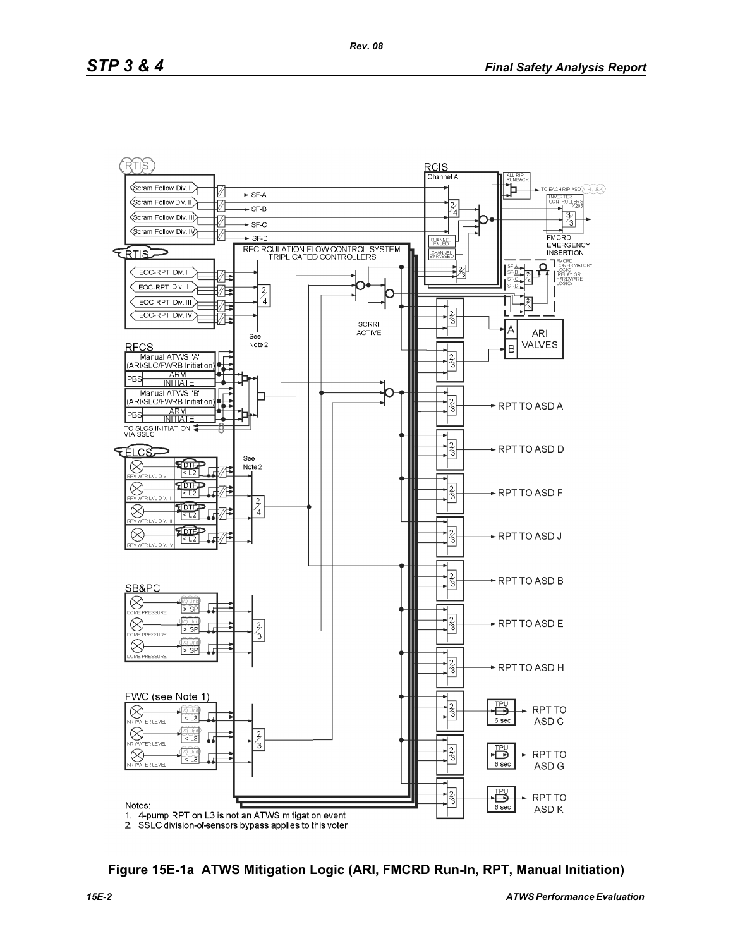

**Figure 15E-1a ATWS Mitigation Logic (ARI, FMCRD Run-In, RPT, Manual Initiation)**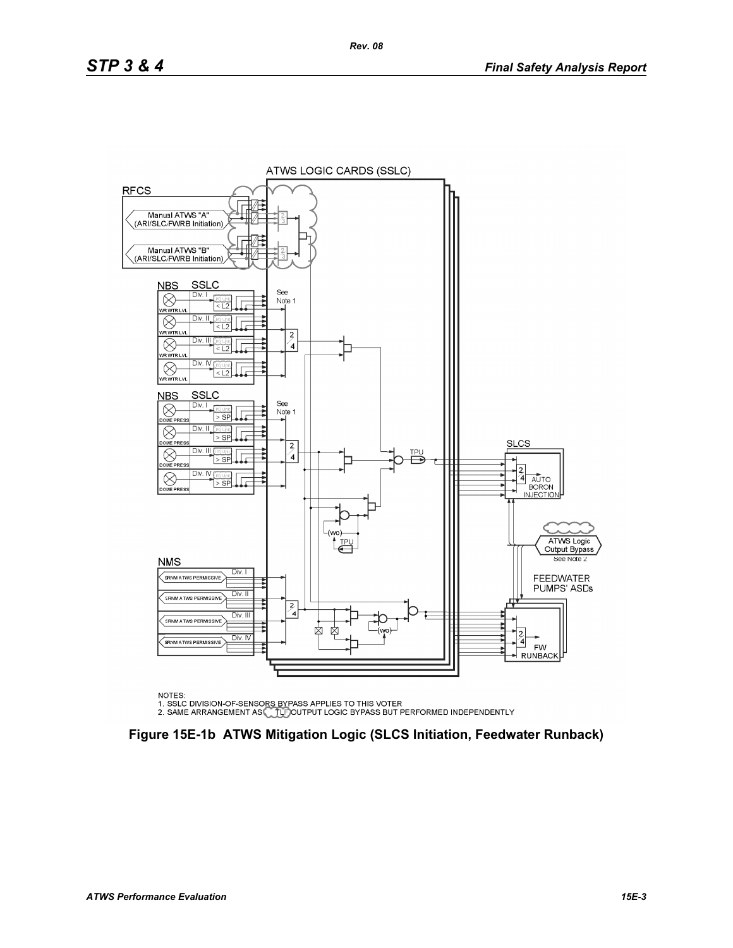

NOTES:

NOTES.<br>1. SSLC DIVISION-OF-SENSORS BYPASS APPLIES TO THIS VOTER<br>2. SAME ARRANGEMENT AS CLEIGOUTPUT LOGIC BYPASS BUT PERFORMED INDEPENDENTLY

**Figure 15E-1b ATWS Mitigation Logic (SLCS Initiation, Feedwater Runback)**